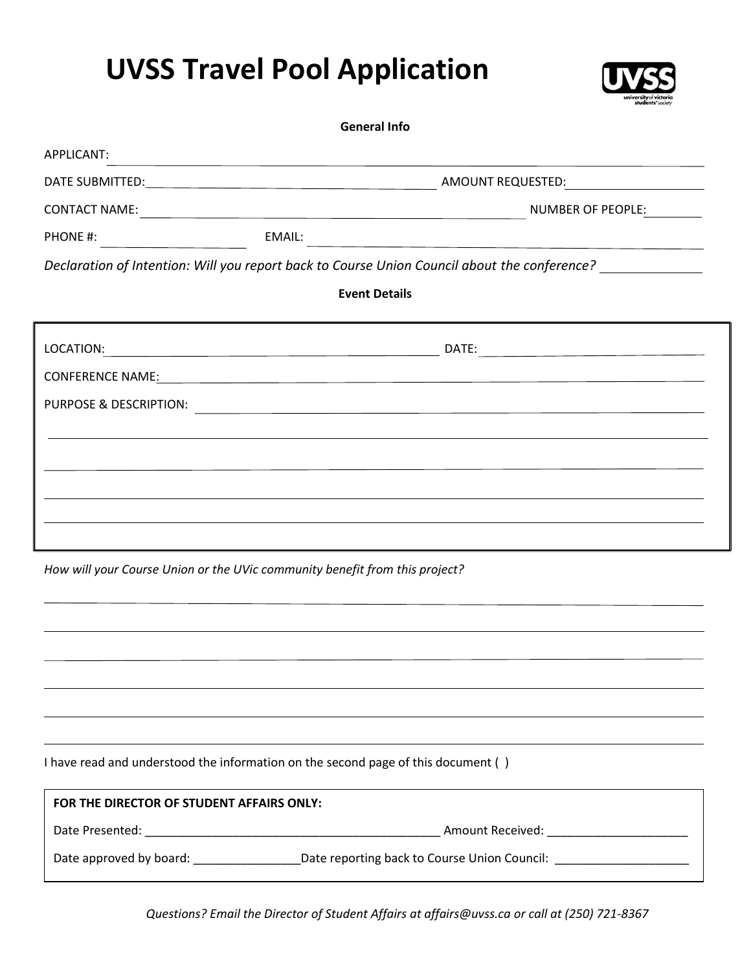## **UVSS Travel Pool Application**



| <b>General Info</b>                       |                                                                                                                  |
|-------------------------------------------|------------------------------------------------------------------------------------------------------------------|
| APPLICANT:                                |                                                                                                                  |
|                                           |                                                                                                                  |
|                                           |                                                                                                                  |
|                                           |                                                                                                                  |
|                                           | Declaration of Intention: Will you report back to Course Union Council about the conference? _____________       |
|                                           | <b>Event Details</b>                                                                                             |
|                                           |                                                                                                                  |
|                                           | CONFERENCE NAME: The CONFERENCE NAME CONFERENCE NAME                                                             |
| PURPOSE & DESCRIPTION:                    | and the control of the control of the control of the control of the control of the control of the control of the |
|                                           |                                                                                                                  |
|                                           |                                                                                                                  |
|                                           |                                                                                                                  |
|                                           |                                                                                                                  |
|                                           |                                                                                                                  |
|                                           | How will your Course Union or the UVic community benefit from this project?                                      |
|                                           |                                                                                                                  |
|                                           |                                                                                                                  |
|                                           |                                                                                                                  |
|                                           |                                                                                                                  |
|                                           |                                                                                                                  |
|                                           | I have read and understood the information on the second page of this document ()                                |
| FOR THE DIRECTOR OF STUDENT AFFAIRS ONLY: |                                                                                                                  |
|                                           |                                                                                                                  |
|                                           | Date approved by board: ____________________Date reporting back to Course Union Council: _____________________   |
|                                           |                                                                                                                  |

*Questions? Email the Director of Student Affairs at affairs@uvss.ca or call at (250) 721-8367*